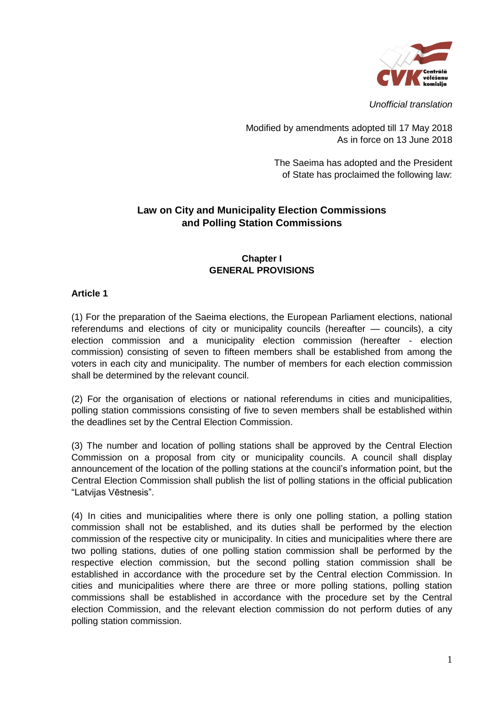

*Unofficial translation*

Modified by amendments adopted till 17 May 2018 As in force on 13 June 2018

> The Saeima has adopted and the President of State has proclaimed the following law:

# **Law on City and Municipality Election Commissions and Polling Station Commissions**

# **Chapter I GENERAL PROVISIONS**

### **Article 1**

(1) For the preparation of the Saeima elections, the European Parliament elections, national referendums and elections of city or municipality councils (hereafter — councils), a city election commission and a municipality election commission (hereafter - election commission) consisting of seven to fifteen members shall be established from among the voters in each city and municipality. The number of members for each election commission shall be determined by the relevant council.

(2) For the organisation of elections or national referendums in cities and municipalities, polling station commissions consisting of five to seven members shall be established within the deadlines set by the Central Election Commission.

(3) The number and location of polling stations shall be approved by the Central Election Commission on a proposal from city or municipality councils. A council shall display announcement of the location of the polling stations at the council's information point, but the Central Election Commission shall publish the list of polling stations in the official publication "Latvijas Vēstnesis".

(4) In cities and municipalities where there is only one polling station, a polling station commission shall not be established, and its duties shall be performed by the election commission of the respective city or municipality. In cities and municipalities where there are two polling stations, duties of one polling station commission shall be performed by the respective election commission, but the second polling station commission shall be established in accordance with the procedure set by the Central election Commission. In cities and municipalities where there are three or more polling stations, polling station commissions shall be established in accordance with the procedure set by the Central election Commission, and the relevant election commission do not perform duties of any polling station commission.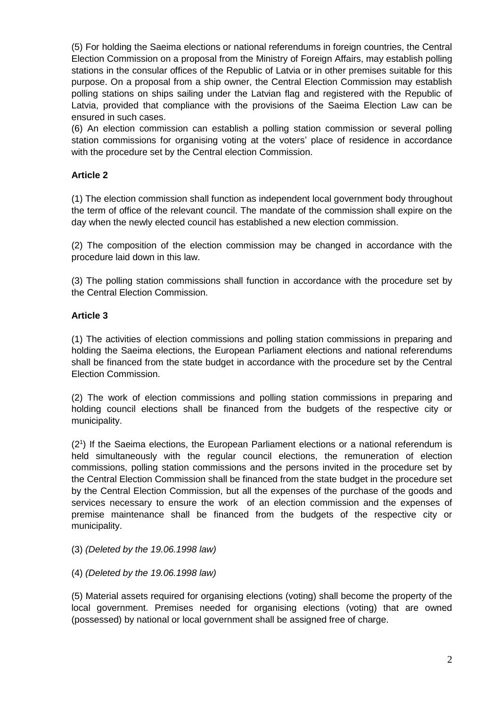(5) For holding the Saeima elections or national referendums in foreign countries, the Central Election Commission on a proposal from the Ministry of Foreign Affairs, may establish polling stations in the consular offices of the Republic of Latvia or in other premises suitable for this purpose. On a proposal from a ship owner, the Central Election Commission may establish polling stations on ships sailing under the Latvian flag and registered with the Republic of Latvia, provided that compliance with the provisions of the Saeima Election Law can be ensured in such cases.

(6) An election commission can establish a polling station commission or several polling station commissions for organising voting at the voters' place of residence in accordance with the procedure set by the Central election Commission.

# **Article 2**

(1) The election commission shall function as independent local government body throughout the term of office of the relevant council. The mandate of the commission shall expire on the day when the newly elected council has established a new election commission.

(2) The composition of the election commission may be changed in accordance with the procedure laid down in this law.

(3) The polling station commissions shall function in accordance with the procedure set by the Central Election Commission.

# **Article 3**

(1) The activities of election commissions and polling station commissions in preparing and holding the Saeima elections, the European Parliament elections and national referendums shall be financed from the state budget in accordance with the procedure set by the Central Election Commission.

(2) The work of election commissions and polling station commissions in preparing and holding council elections shall be financed from the budgets of the respective city or municipality.

(2<sup>1</sup>) If the Saeima elections, the European Parliament elections or a national referendum is held simultaneously with the regular council elections, the remuneration of election commissions, polling station commissions and the persons invited in the procedure set by the Central Election Commission shall be financed from the state budget in the procedure set by the Central Election Commission, but all the expenses of the purchase of the goods and services necessary to ensure the work of an election commission and the expenses of premise maintenance shall be financed from the budgets of the respective city or municipality.

# (3) *(Deleted by the 19.06.1998 law)*

# (4) *(Deleted by the 19.06.1998 law)*

(5) Material assets required for organising elections (voting) shall become the property of the local government. Premises needed for organising elections (voting) that are owned (possessed) by national or local government shall be assigned free of charge.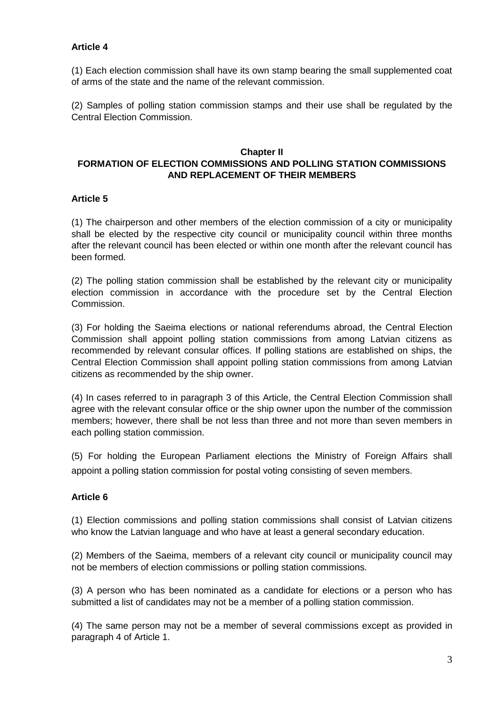# **Article 4**

(1) Each election commission shall have its own stamp bearing the small supplemented coat of arms of the state and the name of the relevant commission.

(2) Samples of polling station commission stamps and their use shall be regulated by the Central Election Commission.

# **Chapter II FORMATION OF ELECTION COMMISSIONS AND POLLING STATION COMMISSIONS AND REPLACEMENT OF THEIR MEMBERS**

### **Article 5**

(1) The chairperson and other members of the election commission of a city or municipality shall be elected by the respective city council or municipality council within three months after the relevant council has been elected or within one month after the relevant council has been formed.

(2) The polling station commission shall be established by the relevant city or municipality election commission in accordance with the procedure set by the Central Election Commission.

(3) For holding the Saeima elections or national referendums abroad, the Central Election Commission shall appoint polling station commissions from among Latvian citizens as recommended by relevant consular offices. If polling stations are established on ships, the Central Election Commission shall appoint polling station commissions from among Latvian citizens as recommended by the ship owner.

(4) In cases referred to in paragraph 3 of this Article, the Central Election Commission shall agree with the relevant consular office or the ship owner upon the number of the commission members; however, there shall be not less than three and not more than seven members in each polling station commission.

(5) For holding the European Parliament elections the Ministry of Foreign Affairs shall appoint a polling station commission for postal voting consisting of seven members.

# **Article 6**

(1) Election commissions and polling station commissions shall consist of Latvian citizens who know the Latvian language and who have at least a general secondary education.

(2) Members of the Saeima, members of a relevant city council or municipality council may not be members of election commissions or polling station commissions.

(3) A person who has been nominated as a candidate for elections or a person who has submitted a list of candidates may not be a member of a polling station commission.

(4) The same person may not be a member of several commissions except as provided in paragraph 4 of Article 1.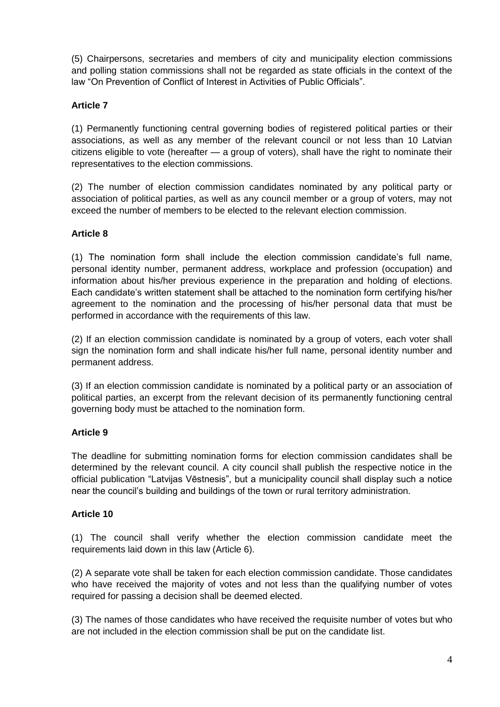(5) Chairpersons, secretaries and members of city and municipality election commissions and polling station commissions shall not be regarded as state officials in the context of the law "On Prevention of Conflict of Interest in Activities of Public Officials".

# **Article 7**

(1) Permanently functioning central governing bodies of registered political parties or their associations, as well as any member of the relevant council or not less than 10 Latvian citizens eligible to vote (hereafter — a group of voters), shall have the right to nominate their representatives to the election commissions.

(2) The number of election commission candidates nominated by any political party or association of political parties, as well as any council member or a group of voters, may not exceed the number of members to be elected to the relevant election commission.

# **Article 8**

(1) The nomination form shall include the election commission candidate's full name, personal identity number, permanent address, workplace and profession (occupation) and information about his/her previous experience in the preparation and holding of elections. Each candidate's written statement shall be attached to the nomination form certifying his/her agreement to the nomination and the processing of his/her personal data that must be performed in accordance with the requirements of this law.

(2) If an election commission candidate is nominated by a group of voters, each voter shall sign the nomination form and shall indicate his/her full name, personal identity number and permanent address.

(3) If an election commission candidate is nominated by a political party or an association of political parties, an excerpt from the relevant decision of its permanently functioning central governing body must be attached to the nomination form.

# **Article 9**

The deadline for submitting nomination forms for election commission candidates shall be determined by the relevant council. A city council shall publish the respective notice in the official publication "Latvijas Vēstnesis", but a municipality council shall display such a notice near the council's building and buildings of the town or rural territory administration.

### **Article 10**

(1) The council shall verify whether the election commission candidate meet the requirements laid down in this law (Article 6).

(2) A separate vote shall be taken for each election commission candidate. Those candidates who have received the majority of votes and not less than the qualifying number of votes required for passing a decision shall be deemed elected.

(3) The names of those candidates who have received the requisite number of votes but who are not included in the election commission shall be put on the candidate list.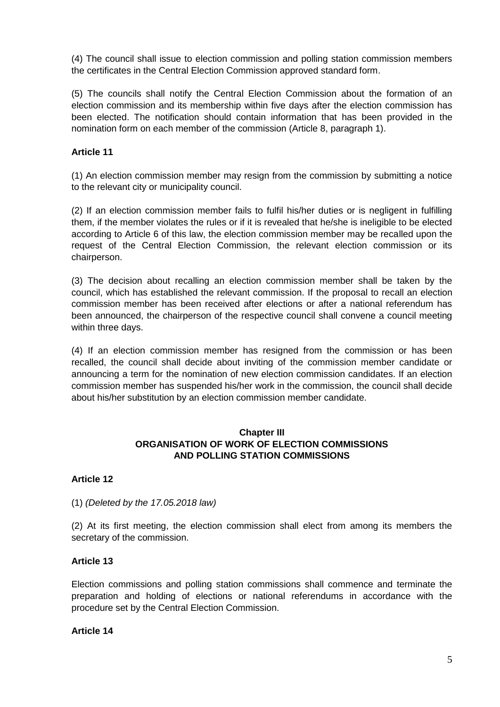(4) The council shall issue to election commission and polling station commission members the certificates in the Central Election Commission approved standard form.

(5) The councils shall notify the Central Election Commission about the formation of an election commission and its membership within five days after the election commission has been elected. The notification should contain information that has been provided in the nomination form on each member of the commission (Article 8, paragraph 1).

### **Article 11**

(1) An election commission member may resign from the commission by submitting a notice to the relevant city or municipality council.

(2) If an election commission member fails to fulfil his/her duties or is negligent in fulfilling them, if the member violates the rules or if it is revealed that he/she is ineligible to be elected according to Article 6 of this law, the election commission member may be recalled upon the request of the Central Election Commission, the relevant election commission or its chairperson.

(3) The decision about recalling an election commission member shall be taken by the council, which has established the relevant commission. If the proposal to recall an election commission member has been received after elections or after a national referendum has been announced, the chairperson of the respective council shall convene a council meeting within three days.

(4) If an election commission member has resigned from the commission or has been recalled, the council shall decide about inviting of the commission member candidate or announcing a term for the nomination of new election commission candidates. If an election commission member has suspended his/her work in the commission, the council shall decide about his/her substitution by an election commission member candidate.

# **Chapter III ORGANISATION OF WORK OF ELECTION COMMISSIONS AND POLLING STATION COMMISSIONS**

### **Article 12**

### (1) *(Deleted by the 17.05.2018 law)*

(2) At its first meeting, the election commission shall elect from among its members the secretary of the commission.

### **Article 13**

Election commissions and polling station commissions shall commence and terminate the preparation and holding of elections or national referendums in accordance with the procedure set by the Central Election Commission.

#### **Article 14**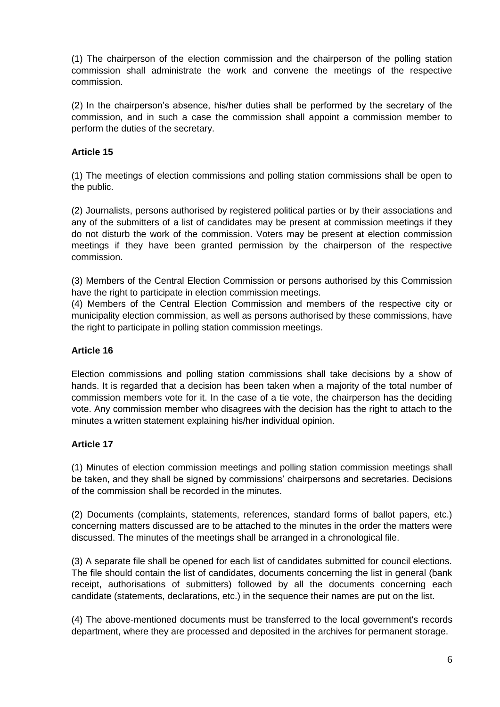(1) The chairperson of the election commission and the chairperson of the polling station commission shall administrate the work and convene the meetings of the respective commission.

(2) In the chairperson's absence, his/her duties shall be performed by the secretary of the commission, and in such a case the commission shall appoint a commission member to perform the duties of the secretary.

# **Article 15**

(1) The meetings of election commissions and polling station commissions shall be open to the public.

(2) Journalists, persons authorised by registered political parties or by their associations and any of the submitters of a list of candidates may be present at commission meetings if they do not disturb the work of the commission. Voters may be present at election commission meetings if they have been granted permission by the chairperson of the respective commission.

(3) Members of the Central Election Commission or persons authorised by this Commission have the right to participate in election commission meetings.

(4) Members of the Central Election Commission and members of the respective city or municipality election commission, as well as persons authorised by these commissions, have the right to participate in polling station commission meetings.

### **Article 16**

Election commissions and polling station commissions shall take decisions by a show of hands. It is regarded that a decision has been taken when a majority of the total number of commission members vote for it. In the case of a tie vote, the chairperson has the deciding vote. Any commission member who disagrees with the decision has the right to attach to the minutes a written statement explaining his/her individual opinion.

### **Article 17**

(1) Minutes of election commission meetings and polling station commission meetings shall be taken, and they shall be signed by commissions' chairpersons and secretaries. Decisions of the commission shall be recorded in the minutes.

(2) Documents (complaints, statements, references, standard forms of ballot papers, etc.) concerning matters discussed are to be attached to the minutes in the order the matters were discussed. The minutes of the meetings shall be arranged in a chronological file.

(3) A separate file shall be opened for each list of candidates submitted for council elections. The file should contain the list of candidates, documents concerning the list in general (bank receipt, authorisations of submitters) followed by all the documents concerning each candidate (statements, declarations, etc.) in the sequence their names are put on the list.

(4) The above-mentioned documents must be transferred to the local government's records department, where they are processed and deposited in the archives for permanent storage.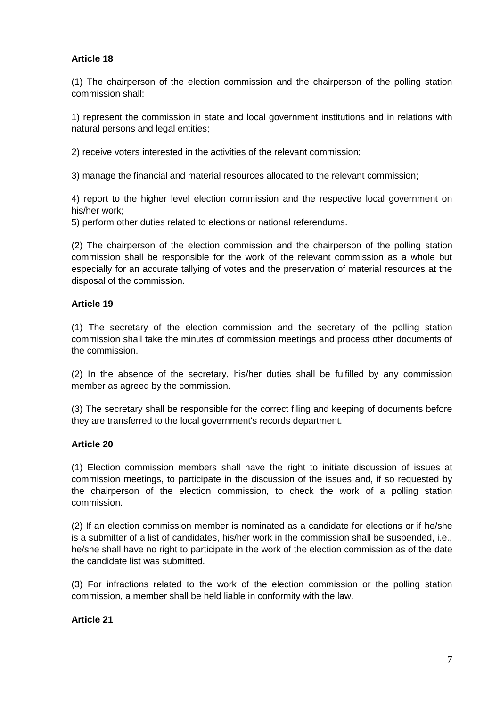### **Article 18**

(1) The chairperson of the election commission and the chairperson of the polling station commission shall:

1) represent the commission in state and local government institutions and in relations with natural persons and legal entities;

2) receive voters interested in the activities of the relevant commission;

3) manage the financial and material resources allocated to the relevant commission;

4) report to the higher level election commission and the respective local government on his/her work;

5) perform other duties related to elections or national referendums.

(2) The chairperson of the election commission and the chairperson of the polling station commission shall be responsible for the work of the relevant commission as a whole but especially for an accurate tallying of votes and the preservation of material resources at the disposal of the commission.

### **Article 19**

(1) The secretary of the election commission and the secretary of the polling station commission shall take the minutes of commission meetings and process other documents of the commission.

(2) In the absence of the secretary, his/her duties shall be fulfilled by any commission member as agreed by the commission.

(3) The secretary shall be responsible for the correct filing and keeping of documents before they are transferred to the local government's records department.

### **Article 20**

(1) Election commission members shall have the right to initiate discussion of issues at commission meetings, to participate in the discussion of the issues and, if so requested by the chairperson of the election commission, to check the work of a polling station commission.

(2) If an election commission member is nominated as a candidate for elections or if he/she is a submitter of a list of candidates, his/her work in the commission shall be suspended, i.e., he/she shall have no right to participate in the work of the election commission as of the date the candidate list was submitted.

(3) For infractions related to the work of the election commission or the polling station commission, a member shall be held liable in conformity with the law.

### **Article 21**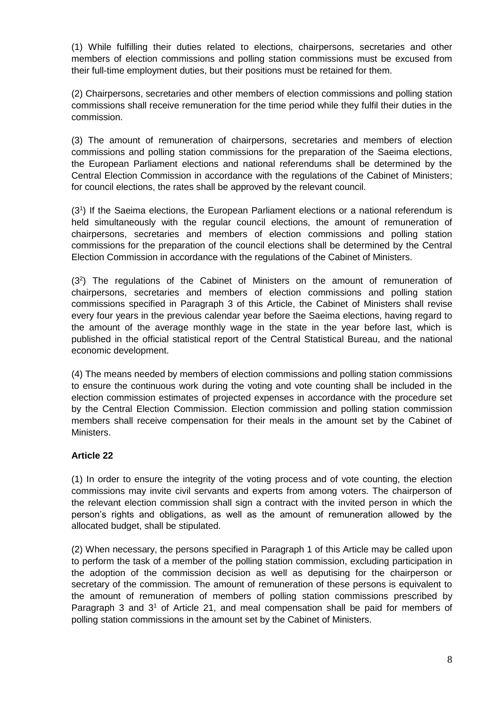(1) While fulfilling their duties related to elections, chairpersons, secretaries and other members of election commissions and polling station commissions must be excused from their full-time employment duties, but their positions must be retained for them.

(2) Chairpersons, secretaries and other members of election commissions and polling station commissions shall receive remuneration for the time period while they fulfil their duties in the commission.

(3) The amount of remuneration of chairpersons, secretaries and members of election commissions and polling station commissions for the preparation of the Saeima elections, the European Parliament elections and national referendums shall be determined by the Central Election Commission in accordance with the regulations of the Cabinet of Ministers; for council elections, the rates shall be approved by the relevant council.

(3<sup>1</sup> ) If the Saeima elections, the European Parliament elections or a national referendum is held simultaneously with the regular council elections, the amount of remuneration of chairpersons, secretaries and members of election commissions and polling station commissions for the preparation of the council elections shall be determined by the Central Election Commission in accordance with the regulations of the Cabinet of Ministers.

 $(3<sup>2</sup>)$  The regulations of the Cabinet of Ministers on the amount of remuneration of chairpersons, secretaries and members of election commissions and polling station commissions specified in Paragraph 3 of this Article, the Cabinet of Ministers shall revise every four years in the previous calendar year before the Saeima elections, having regard to the amount of the average monthly wage in the state in the year before last, which is published in the official statistical report of the Central Statistical Bureau, and the national economic development.

(4) The means needed by members of election commissions and polling station commissions to ensure the continuous work during the voting and vote counting shall be included in the election commission estimates of projected expenses in accordance with the procedure set by the Central Election Commission. Election commission and polling station commission members shall receive compensation for their meals in the amount set by the Cabinet of Ministers.

# **Article 22**

(1) In order to ensure the integrity of the voting process and of vote counting, the election commissions may invite civil servants and experts from among voters. The chairperson of the relevant election commission shall sign a contract with the invited person in which the person's rights and obligations, as well as the amount of remuneration allowed by the allocated budget, shall be stipulated.

(2) When necessary, the persons specified in Paragraph 1 of this Article may be called upon to perform the task of a member of the polling station commission, excluding participation in the adoption of the commission decision as well as deputising for the chairperson or secretary of the commission. The amount of remuneration of these persons is equivalent to the amount of remuneration of members of polling station commissions prescribed by Paragraph 3 and  $3<sup>1</sup>$  of Article 21, and meal compensation shall be paid for members of polling station commissions in the amount set by the Cabinet of Ministers.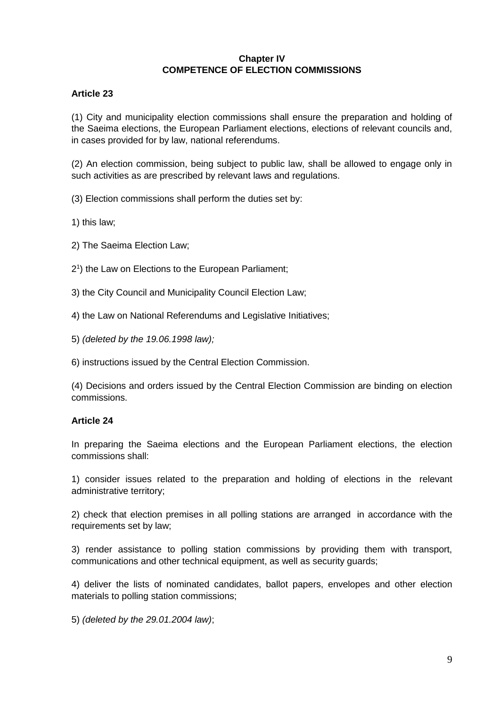### **Chapter IV COMPETENCE OF ELECTION COMMISSIONS**

### **Article 23**

(1) City and municipality election commissions shall ensure the preparation and holding of the Saeima elections, the European Parliament elections, elections of relevant councils and, in cases provided for by law, national referendums.

(2) An election commission, being subject to public law, shall be allowed to engage only in such activities as are prescribed by relevant laws and regulations.

(3) Election commissions shall perform the duties set by:

1) this law;

- 2) The Saeima Election Law;
- 2 1 ) the Law on Elections to the European Parliament;
- 3) the City Council and Municipality Council Election Law;
- 4) the Law on National Referendums and Legislative Initiatives;
- 5) *(deleted by the 19.06.1998 law);*
- 6) instructions issued by the Central Election Commission.

(4) Decisions and orders issued by the Central Election Commission are binding on election commissions.

### **Article 24**

In preparing the Saeima elections and the European Parliament elections, the election commissions shall:

1) consider issues related to the preparation and holding of elections in the relevant administrative territory;

2) check that election premises in all polling stations are arranged in accordance with the requirements set by law;

3) render assistance to polling station commissions by providing them with transport, communications and other technical equipment, as well as security guards;

4) deliver the lists of nominated candidates, ballot papers, envelopes and other election materials to polling station commissions;

5) *(deleted by the 29.01.2004 law)*;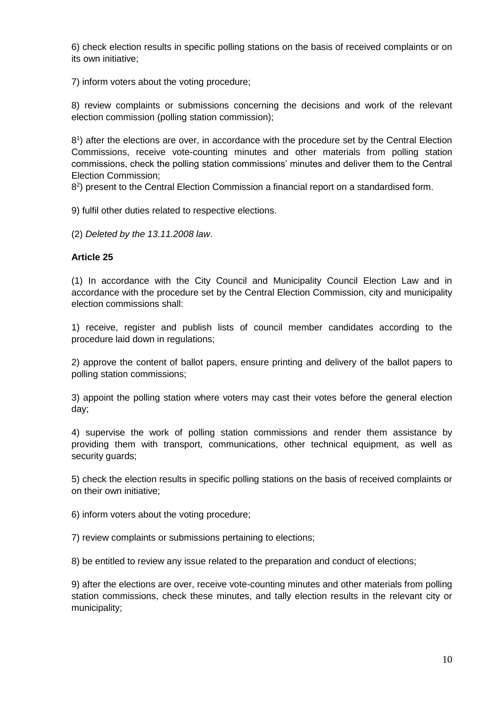6) check election results in specific polling stations on the basis of received complaints or on its own initiative;

7) inform voters about the voting procedure;

8) review complaints or submissions concerning the decisions and work of the relevant election commission (polling station commission);

8 1 ) after the elections are over, in accordance with the procedure set by the Central Election Commissions, receive vote-counting minutes and other materials from polling station commissions, check the polling station commissions' minutes and deliver them to the Central Election Commission;

8<sup>2</sup>) present to the Central Election Commission a financial report on a standardised form.

9) fulfil other duties related to respective elections.

(2) *Deleted by the 13.11.2008 law*.

### **Article 25**

(1) In accordance with the City Council and Municipality Council Election Law and in accordance with the procedure set by the Central Election Commission, city and municipality election commissions shall:

1) receive, register and publish lists of council member candidates according to the procedure laid down in regulations;

2) approve the content of ballot papers, ensure printing and delivery of the ballot papers to polling station commissions;

3) appoint the polling station where voters may cast their votes before the general election day;

4) supervise the work of polling station commissions and render them assistance by providing them with transport, communications, other technical equipment, as well as security guards;

5) check the election results in specific polling stations on the basis of received complaints or on their own initiative;

6) inform voters about the voting procedure;

7) review complaints or submissions pertaining to elections;

8) be entitled to review any issue related to the preparation and conduct of elections;

9) after the elections are over, receive vote-counting minutes and other materials from polling station commissions, check these minutes, and tally election results in the relevant city or municipality;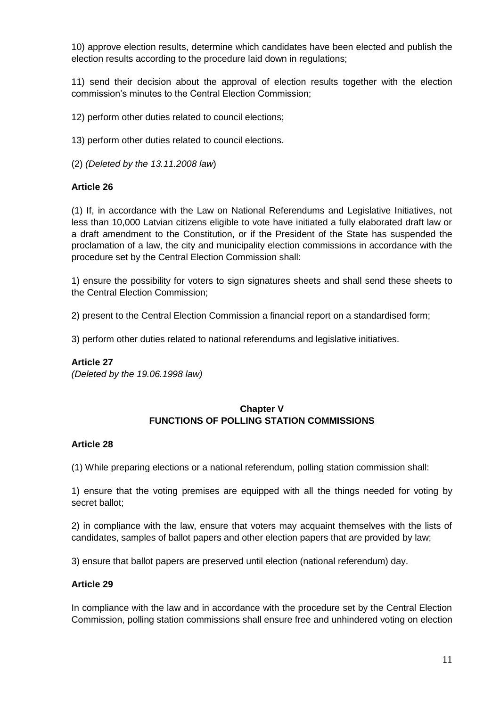10) approve election results, determine which candidates have been elected and publish the election results according to the procedure laid down in regulations;

11) send their decision about the approval of election results together with the election commission's minutes to the Central Election Commission;

12) perform other duties related to council elections;

13) perform other duties related to council elections.

(2) *(Deleted by the 13.11.2008 law*)

### **Article 26**

(1) If, in accordance with the Law on National Referendums and Legislative Initiatives, not less than 10,000 Latvian citizens eligible to vote have initiated a fully elaborated draft law or a draft amendment to the Constitution, or if the President of the State has suspended the proclamation of a law, the city and municipality election commissions in accordance with the procedure set by the Central Election Commission shall:

1) ensure the possibility for voters to sign signatures sheets and shall send these sheets to the Central Election Commission;

2) present to the Central Election Commission a financial report on a standardised form;

3) perform other duties related to national referendums and legislative initiatives.

### **Article 27**

*(Deleted by the 19.06.1998 law)*

### **Chapter V FUNCTIONS OF POLLING STATION COMMISSIONS**

### **Article 28**

(1) While preparing elections or a national referendum, polling station commission shall:

1) ensure that the voting premises are equipped with all the things needed for voting by secret ballot;

2) in compliance with the law, ensure that voters may acquaint themselves with the lists of candidates, samples of ballot papers and other election papers that are provided by law;

3) ensure that ballot papers are preserved until election (national referendum) day.

### **Article 29**

In compliance with the law and in accordance with the procedure set by the Central Election Commission, polling station commissions shall ensure free and unhindered voting on election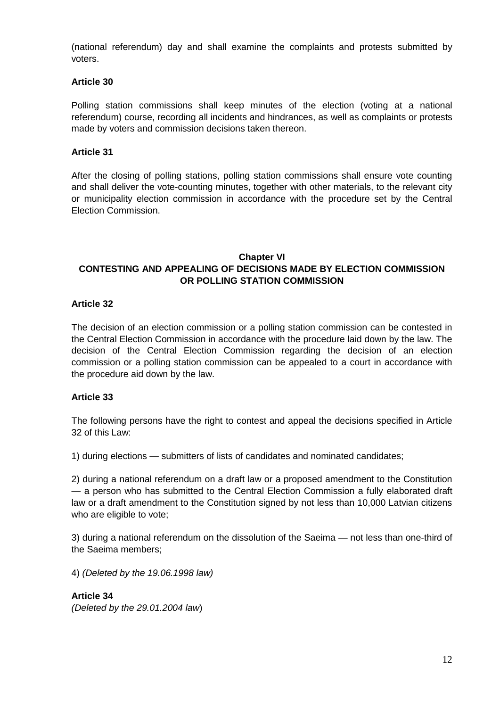(national referendum) day and shall examine the complaints and protests submitted by voters.

### **Article 30**

Polling station commissions shall keep minutes of the election (voting at a national referendum) course, recording all incidents and hindrances, as well as complaints or protests made by voters and commission decisions taken thereon.

### **Article 31**

After the closing of polling stations, polling station commissions shall ensure vote counting and shall deliver the vote-counting minutes, together with other materials, to the relevant city or municipality election commission in accordance with the procedure set by the Central Election Commission.

# **Chapter VI CONTESTING AND APPEALING OF DECISIONS MADE BY ELECTION COMMISSION OR POLLING STATION COMMISSION**

### **Article 32**

The decision of an election commission or a polling station commission can be contested in the Central Election Commission in accordance with the procedure laid down by the law. The decision of the Central Election Commission regarding the decision of an election commission or a polling station commission can be appealed to a court in accordance with the procedure aid down by the law.

### **Article 33**

The following persons have the right to contest and appeal the decisions specified in Article 32 of this Law:

1) during elections — submitters of lists of candidates and nominated candidates;

2) during a national referendum on a draft law or a proposed amendment to the Constitution — a person who has submitted to the Central Election Commission a fully elaborated draft law or a draft amendment to the Constitution signed by not less than 10,000 Latvian citizens who are eligible to vote;

3) during a national referendum on the dissolution of the Saeima — not less than one-third of the Saeima members;

4) *(Deleted by the 19.06.1998 law)*

**Article 34** *(Deleted by the 29.01.2004 law*)